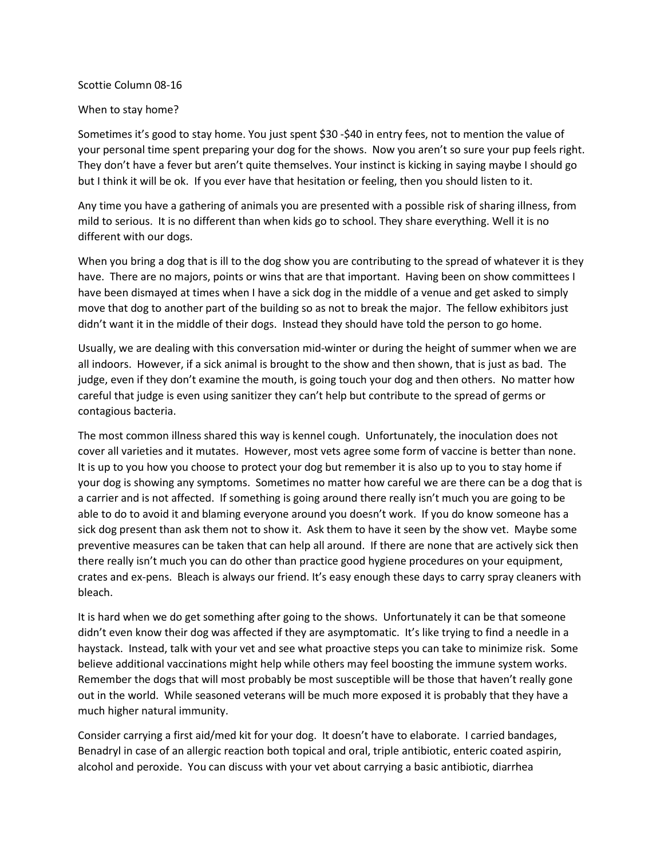## Scottie Column 08-16

## When to stay home?

Sometimes it's good to stay home. You just spent \$30 -\$40 in entry fees, not to mention the value of your personal time spent preparing your dog for the shows. Now you aren't so sure your pup feels right. They don't have a fever but aren't quite themselves. Your instinct is kicking in saying maybe I should go but I think it will be ok. If you ever have that hesitation or feeling, then you should listen to it.

Any time you have a gathering of animals you are presented with a possible risk of sharing illness, from mild to serious. It is no different than when kids go to school. They share everything. Well it is no different with our dogs.

When you bring a dog that is ill to the dog show you are contributing to the spread of whatever it is they have. There are no majors, points or wins that are that important. Having been on show committees I have been dismayed at times when I have a sick dog in the middle of a venue and get asked to simply move that dog to another part of the building so as not to break the major. The fellow exhibitors just didn't want it in the middle of their dogs. Instead they should have told the person to go home.

Usually, we are dealing with this conversation mid-winter or during the height of summer when we are all indoors. However, if a sick animal is brought to the show and then shown, that is just as bad. The judge, even if they don't examine the mouth, is going touch your dog and then others. No matter how careful that judge is even using sanitizer they can't help but contribute to the spread of germs or contagious bacteria.

The most common illness shared this way is kennel cough. Unfortunately, the inoculation does not cover all varieties and it mutates. However, most vets agree some form of vaccine is better than none. It is up to you how you choose to protect your dog but remember it is also up to you to stay home if your dog is showing any symptoms. Sometimes no matter how careful we are there can be a dog that is a carrier and is not affected. If something is going around there really isn't much you are going to be able to do to avoid it and blaming everyone around you doesn't work. If you do know someone has a sick dog present than ask them not to show it. Ask them to have it seen by the show vet. Maybe some preventive measures can be taken that can help all around. If there are none that are actively sick then there really isn't much you can do other than practice good hygiene procedures on your equipment, crates and ex-pens. Bleach is always our friend. It's easy enough these days to carry spray cleaners with bleach.

It is hard when we do get something after going to the shows. Unfortunately it can be that someone didn't even know their dog was affected if they are asymptomatic. It's like trying to find a needle in a haystack. Instead, talk with your vet and see what proactive steps you can take to minimize risk. Some believe additional vaccinations might help while others may feel boosting the immune system works. Remember the dogs that will most probably be most susceptible will be those that haven't really gone out in the world. While seasoned veterans will be much more exposed it is probably that they have a much higher natural immunity.

Consider carrying a first aid/med kit for your dog. It doesn't have to elaborate. I carried bandages, Benadryl in case of an allergic reaction both topical and oral, triple antibiotic, enteric coated aspirin, alcohol and peroxide. You can discuss with your vet about carrying a basic antibiotic, diarrhea